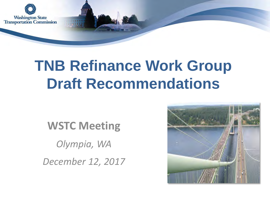

### **TNB Refinance Work Group Draft Recommendations**

**WSTC Meeting**

*Olympia, WA*

*December 12, 2017*

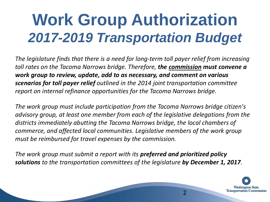# **Work Group Authorization** *2017-2019 Transportation Budget*

*The legislature finds that there is a need for long-term toll payer relief from increasing toll rates on the Tacoma Narrows bridge. Therefore, the commission must convene a work group to review, update, add to as necessary, and comment on various scenarios for toll payer relief outlined in the 2014 joint transportation committee report on internal refinance opportunities for the Tacoma Narrows bridge.* 

*The work group must include participation from the Tacoma Narrows bridge citizen's advisory group, at least one member from each of the legislative delegations from the districts immediately abutting the Tacoma Narrows bridge, the local chambers of commerce, and affected local communities. Legislative members of the work group must be reimbursed for travel expenses by the commission.* 

*The work group must submit a report with its preferred and prioritized policy solutions to the transportation committees of the legislature by December 1, 2017.*

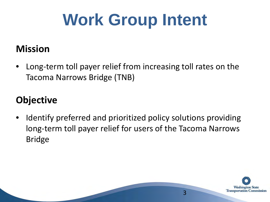# **Work Group Intent**

#### **Mission**

• Long-term toll payer relief from increasing toll rates on the Tacoma Narrows Bridge (TNB)

#### **Objective**

Identify preferred and prioritized policy solutions providing long-term toll payer relief for users of the Tacoma Narrows Bridge

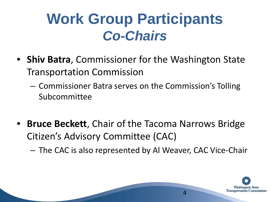### **Work Group Participants** *Co-Chairs*

- **Shiv Batra**, Commissioner for the Washington State Transportation Commission
	- Commissioner Batra serves on the Commission's Tolling Subcommittee
- **Bruce Beckett**, Chair of the Tacoma Narrows Bridge Citizen's Advisory Committee (CAC)

– The CAC is also represented by Al Weaver, CAC Vice-Chair

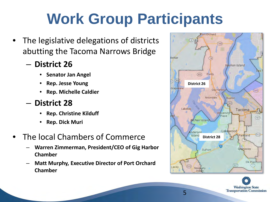# **Work Group Participants**

- The legislative delegations of districts abutting the Tacoma Narrows Bridge
	- **District 26**
		- **Senator Jan Angel**
		- **Rep. Jesse Young**
		- **Rep. Michelle Caldier**
	- **District 28**
		- **Rep. Christine Kilduff**
		- **Rep. Dick Muri**
- The local Chambers of Commerce
	- **Warren Zimmerman, President/CEO of Gig Harbor Chamber**
	- **Matt Murphy, Executive Director of Port Orchard Chamber**



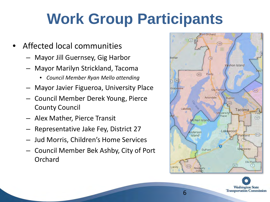## **Work Group Participants**

- Affected local communities
	- Mayor Jill Guernsey, Gig Harbor
	- Mayor Marilyn Strickland, Tacoma
		- *Council Member Ryan Mello attending*
	- Mayor Javier Figueroa, University Place
	- Council Member Derek Young, Pierce County Council
	- Alex Mather, Pierce Transit
	- Representative Jake Fey, District 27
	- Jud Morris, Children's Home Services
	- Council Member Bek Ashby, City of Port Orchard



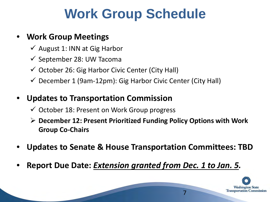#### **Work Group Schedule**

#### • **Work Group Meetings**

- $\checkmark$  August 1: INN at Gig Harbor
- $\checkmark$  September 28: UW Tacoma
- $\checkmark$  October 26: Gig Harbor Civic Center (City Hall)
- $\checkmark$  December 1 (9am-12pm): Gig Harbor Civic Center (City Hall)

#### • **Updates to Transportation Commission**

- $\checkmark$  October 18: Present on Work Group progress
- **December 12: Present Prioritized Funding Policy Options with Work Group Co-Chairs**

- **Updates to Senate & House Transportation Committees: TBD**
- **Report Due Date:** *Extension granted from Dec. 1 to Jan. 5.*

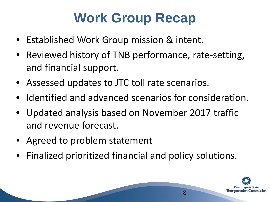### **Work Group Recap**

- Established Work Group mission & intent.
- Reviewed history of TNB performance, rate-setting, and financial support.
- Assessed updates to JTC toll rate scenarios.
- Identified and advanced scenarios for consideration.
- Updated analysis based on November 2017 traffic and revenue forecast.
- Agreed to problem statement
- Finalized prioritized financial and policy solutions.

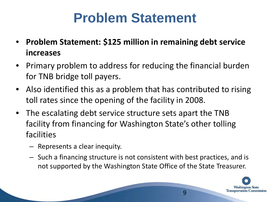#### **Problem Statement**

- **Problem Statement: \$125 million in remaining debt service increases**
- Primary problem to address for reducing the financial burden for TNB bridge toll payers.
- Also identified this as a problem that has contributed to rising toll rates since the opening of the facility in 2008.
- The escalating debt service structure sets apart the TNB facility from financing for Washington State's other tolling facilities
	- Represents a clear inequity.
	- Such a financing structure is not consistent with best practices, and is not supported by the Washington State Office of the State Treasurer.

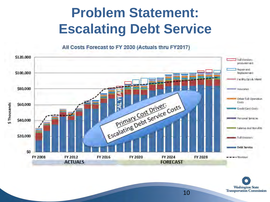### **Problem Statement: Escalating Debt Service**

All Costs Forecast to FY 2030 (Actuals thru FY2017)



**Washington State Transportation Commission**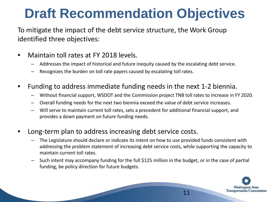#### **Draft Recommendation Objectives**

To mitigate the impact of the debt service structure, the Work Group identified three objectives:

- Maintain toll rates at FY 2018 levels.
	- Addresses the impact of historical and future inequity caused by the escalating debt service.
	- Recognizes the burden on toll rate payers caused by escalating toll rates.
- Funding to address immediate funding needs in the next 1-2 biennia.
	- Without financial support, WSDOT and the Commission project TNB toll rates to increase in FY 2020.
	- Overall funding needs for the next two biennia exceed the value of debt service increases.
	- Will serve to maintain current toll rates, sets a precedent for additional financial support, and provides a down payment on future funding needs.
- Long-term plan to address increasing debt service costs.

- The Legislature should declare or indicate its intent on how to use provided funds consistent with addressing the problem statement of increasing debt service costs, while supporting the capacity to maintain current toll rates.
- Such intent may accompany funding for the full \$125 million in the budget, or in the case of partial funding, be policy direction for future budgets.

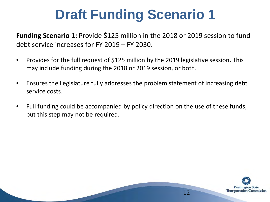### **Draft Funding Scenario 1**

**Funding Scenario 1:** Provide \$125 million in the 2018 or 2019 session to fund debt service increases for FY 2019 – FY 2030.

- Provides for the full request of \$125 million by the 2019 legislative session. This may include funding during the 2018 or 2019 session, or both.
- Ensures the Legislature fully addresses the problem statement of increasing debt service costs.
- Full funding could be accompanied by policy direction on the use of these funds, but this step may not be required.

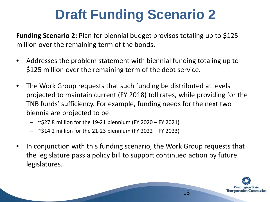### **Draft Funding Scenario 2**

**Funding Scenario 2:** Plan for biennial budget provisos totaling up to \$125 million over the remaining term of the bonds.

- Addresses the problem statement with biennial funding totaling up to \$125 million over the remaining term of the debt service.
- The Work Group requests that such funding be distributed at levels projected to maintain current (FY 2018) toll rates, while providing for the TNB funds' sufficiency. For example, funding needs for the next two biennia are projected to be:
	- $\sim$ \$27.8 million for the 19-21 biennium (FY 2020 FY 2021)
	- $-$  ~\$14.2 million for the 21-23 biennium (FY 2022 FY 2023)
- In conjunction with this funding scenario, the Work Group requests that the legislature pass a policy bill to support continued action by future legislatures.

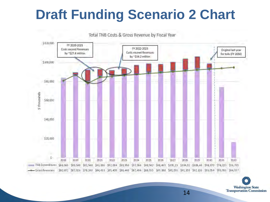#### **Draft Funding Scenario 2 Chart**



**Washington State**<br>Transportation Commission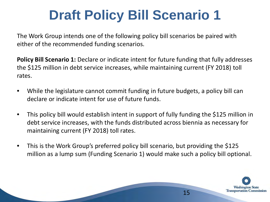### **Draft Policy Bill Scenario 1**

The Work Group intends one of the following policy bill scenarios be paired with either of the recommended funding scenarios.

**Policy Bill Scenario 1:** Declare or indicate intent for future funding that fully addresses the \$125 million in debt service increases, while maintaining current (FY 2018) toll rates.

- While the legislature cannot commit funding in future budgets, a policy bill can declare or indicate intent for use of future funds.
- This policy bill would establish intent in support of fully funding the \$125 million in debt service increases, with the funds distributed across biennia as necessary for maintaining current (FY 2018) toll rates.
- This is the Work Group's preferred policy bill scenario, but providing the \$125 million as a lump sum (Funding Scenario 1) would make such a policy bill optional.

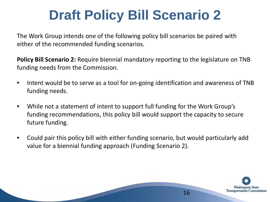### **Draft Policy Bill Scenario 2**

The Work Group intends one of the following policy bill scenarios be paired with either of the recommended funding scenarios.

**Policy Bill Scenario 2:** Require biennial mandatory reporting to the legislature on TNB funding needs from the Commission.

- Intent would be to serve as a tool for on-going identification and awareness of TNB funding needs.
- While not a statement of intent to support full funding for the Work Group's funding recommendations, this policy bill would support the capacity to secure future funding.
- Could pair this policy bill with either funding scenario, but would particularly add value for a biennial funding approach (Funding Scenario 2).

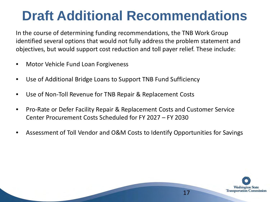### **Draft Additional Recommendations**

In the course of determining funding recommendations, the TNB Work Group identified several options that would not fully address the problem statement and objectives, but would support cost reduction and toll payer relief. These include:

- Motor Vehicle Fund Loan Forgiveness
- Use of Additional Bridge Loans to Support TNB Fund Sufficiency
- Use of Non-Toll Revenue for TNB Repair & Replacement Costs
- Pro-Rate or Defer Facility Repair & Replacement Costs and Customer Service Center Procurement Costs Scheduled for FY 2027 – FY 2030
- Assessment of Toll Vendor and O&M Costs to Identify Opportunities for Savings

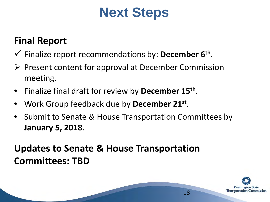#### **Next Steps**

#### **Final Report**

- Finalize report recommendations by: **December 6th**.
- $\triangleright$  Present content for approval at December Commission meeting.
- Finalize final draft for review by **December 15th**.
- Work Group feedback due by **December 21st**.
- Submit to Senate & House Transportation Committees by **January 5, 2018**.

#### **Updates to Senate & House Transportation Committees: TBD**